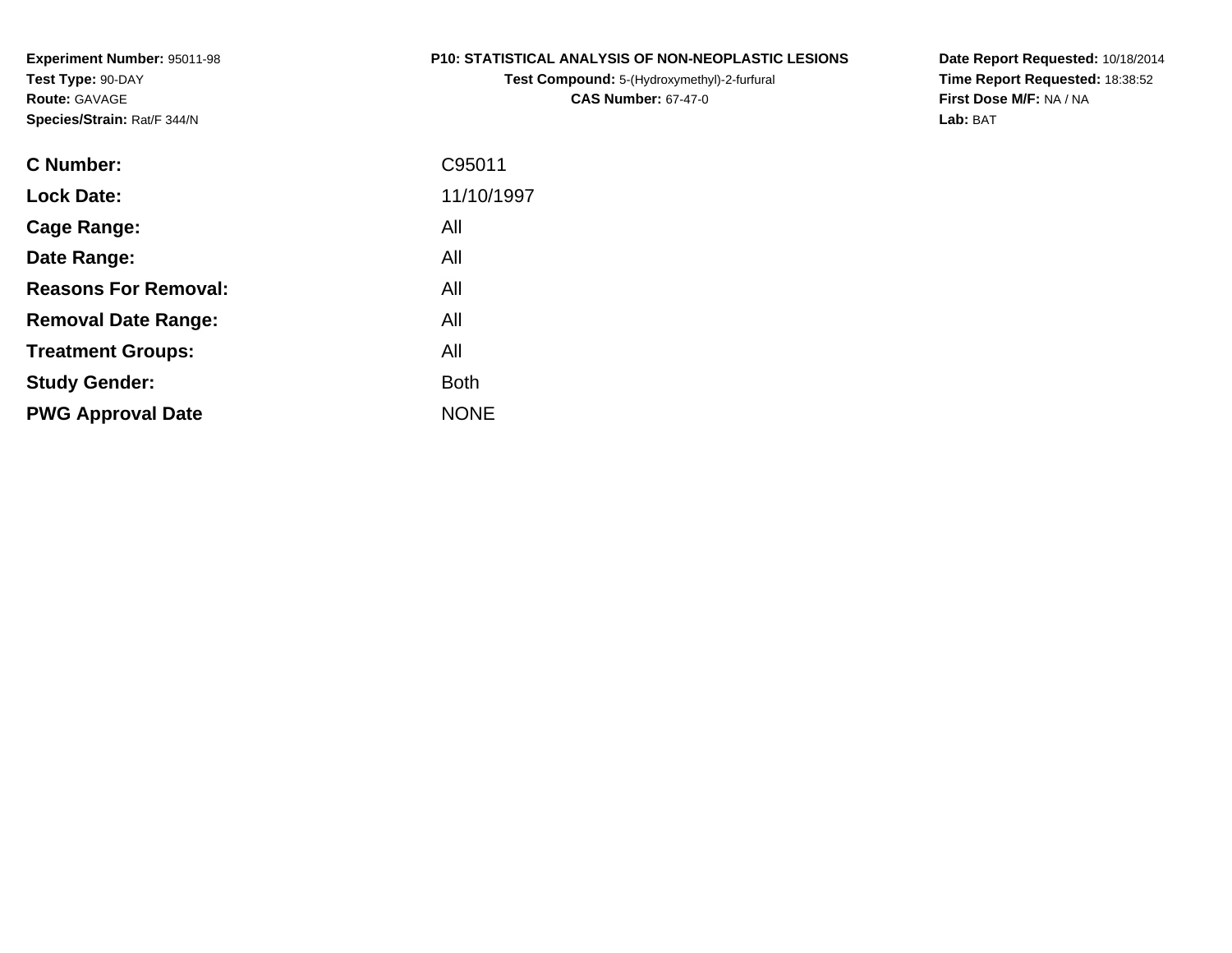**Experiment Number:** 95011-98**Test Type:** 90-DAY**Route:** GAVAGE**Species/Strain:** Rat/F 344/N

#### **P10: STATISTICAL ANALYSIS OF NON-NEOPLASTIC LESIONS**

**Test Compound:** 5-(Hydroxymethyl)-2-furfural **CAS Number:** 67-47-0

**Date Report Requested:** 10/18/2014 **Time Report Requested:** 18:38:52**First Dose M/F:** NA / NA**Lab:** BAT

| C Number:                   | C95011      |
|-----------------------------|-------------|
| <b>Lock Date:</b>           | 11/10/1997  |
| Cage Range:                 | All         |
| Date Range:                 | All         |
| <b>Reasons For Removal:</b> | All         |
| <b>Removal Date Range:</b>  | All         |
| <b>Treatment Groups:</b>    | All         |
| <b>Study Gender:</b>        | <b>Both</b> |
| <b>PWG Approval Date</b>    | <b>NONE</b> |
|                             |             |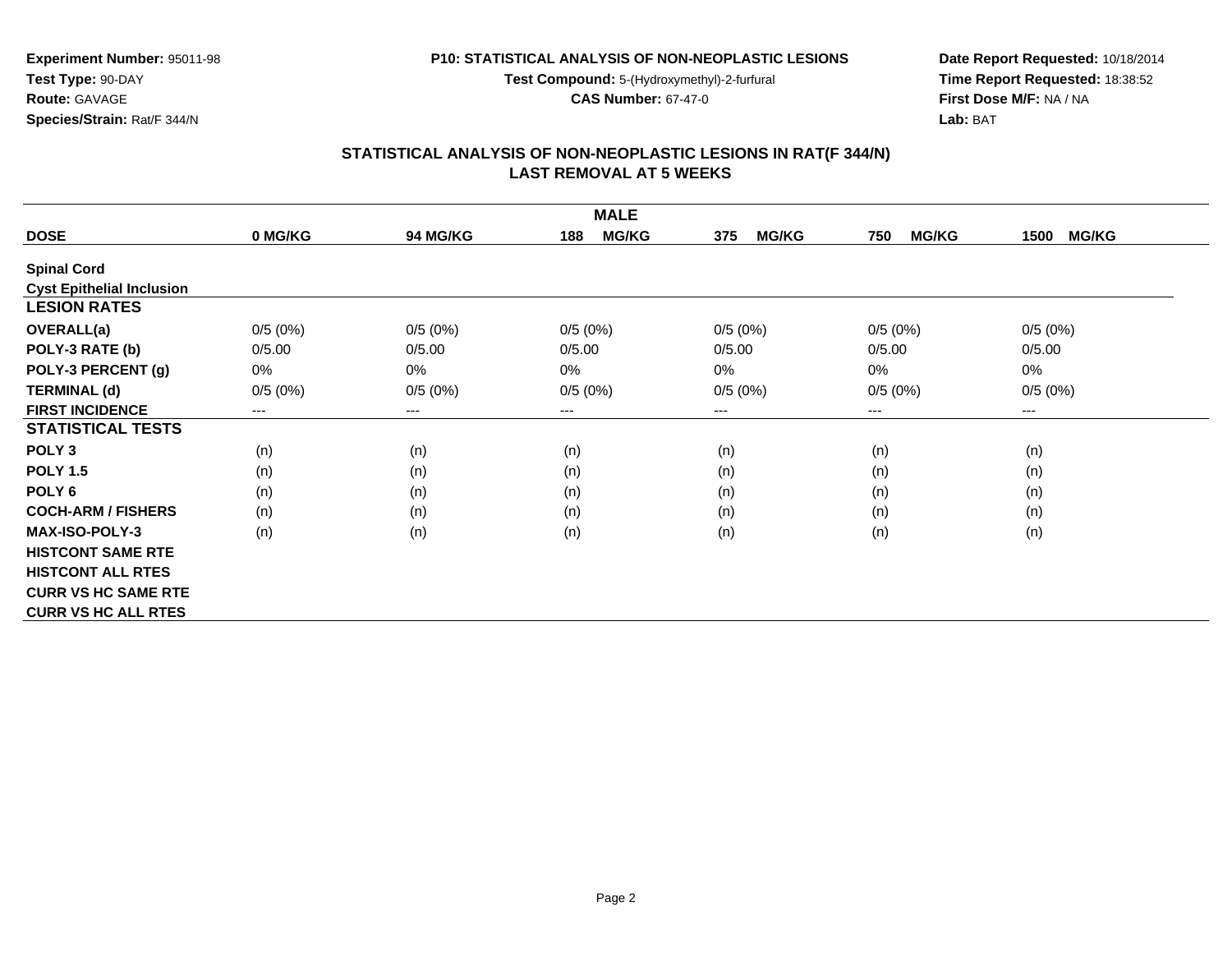**P10: STATISTICAL ANALYSIS OF NON-NEOPLASTIC LESIONS**

**Test Compound:** 5-(Hydroxymethyl)-2-furfural

**CAS Number:** 67-47-0

**Date Report Requested:** 10/18/2014 **Time Report Requested:** 18:38:52**First Dose M/F:** NA / NA**Lab:** BAT

## **STATISTICAL ANALYSIS OF NON-NEOPLASTIC LESIONS IN RAT(F 344/N) LAST REMOVAL AT 5 WEEKS**

| <b>MALE</b>                      |         |                 |                     |                     |                     |                      |
|----------------------------------|---------|-----------------|---------------------|---------------------|---------------------|----------------------|
| <b>DOSE</b>                      | 0 MG/KG | <b>94 MG/KG</b> | <b>MG/KG</b><br>188 | <b>MG/KG</b><br>375 | <b>MG/KG</b><br>750 | <b>MG/KG</b><br>1500 |
| <b>Spinal Cord</b>               |         |                 |                     |                     |                     |                      |
| <b>Cyst Epithelial Inclusion</b> |         |                 |                     |                     |                     |                      |
| <b>LESION RATES</b>              |         |                 |                     |                     |                     |                      |
| <b>OVERALL(a)</b>                | 0/5(0%) | 0/5(0%)         | 0/5(0%)             | 0/5(0%)             | 0/5(0%)             | 0/5(0%)              |
| POLY-3 RATE (b)                  | 0/5.00  | 0/5.00          | 0/5.00              | 0/5.00              | 0/5.00              | 0/5.00               |
| POLY-3 PERCENT (g)               | 0%      | 0%              | $0\%$               | 0%                  | 0%                  | 0%                   |
| <b>TERMINAL (d)</b>              | 0/5(0%) | 0/5(0%)         | 0/5(0%)             | 0/5(0%)             | 0/5(0%)             | 0/5(0%)              |
| <b>FIRST INCIDENCE</b>           | $---$   | $--$            | $---$               | ---                 | ---                 | ---                  |
| <b>STATISTICAL TESTS</b>         |         |                 |                     |                     |                     |                      |
| POLY <sub>3</sub>                | (n)     | (n)             | (n)                 | (n)                 | (n)                 | (n)                  |
| <b>POLY 1.5</b>                  | (n)     | (n)             | (n)                 | (n)                 | (n)                 | (n)                  |
| POLY <sub>6</sub>                | (n)     | (n)             | (n)                 | (n)                 | (n)                 | (n)                  |
| <b>COCH-ARM / FISHERS</b>        | (n)     | (n)             | (n)                 | (n)                 | (n)                 | (n)                  |
| <b>MAX-ISO-POLY-3</b>            | (n)     | (n)             | (n)                 | (n)                 | (n)                 | (n)                  |
| <b>HISTCONT SAME RTE</b>         |         |                 |                     |                     |                     |                      |
| <b>HISTCONT ALL RTES</b>         |         |                 |                     |                     |                     |                      |
| <b>CURR VS HC SAME RTE</b>       |         |                 |                     |                     |                     |                      |
| <b>CURR VS HC ALL RTES</b>       |         |                 |                     |                     |                     |                      |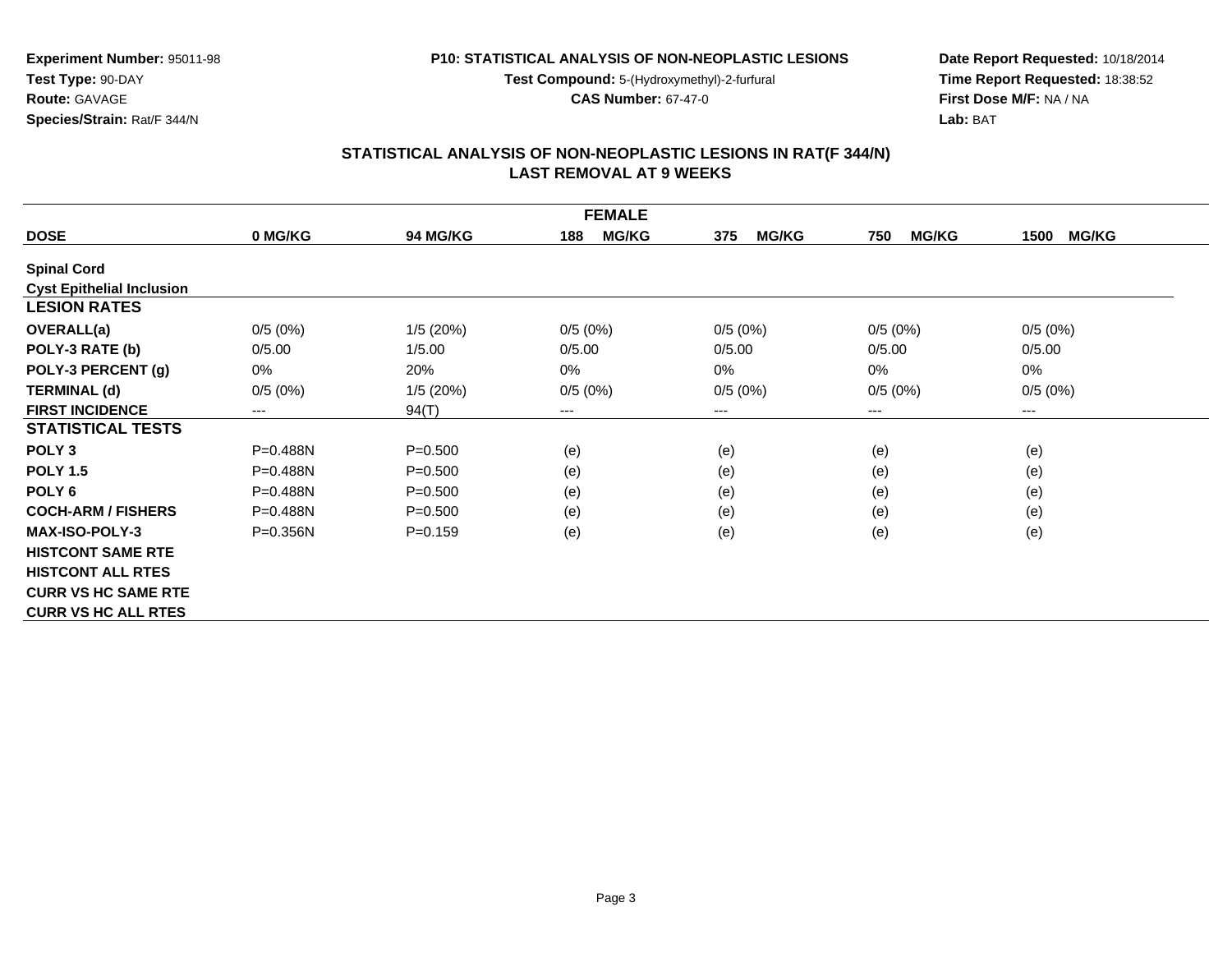**P10: STATISTICAL ANALYSIS OF NON-NEOPLASTIC LESIONS**

**Test Compound:** 5-(Hydroxymethyl)-2-furfural

**CAS Number:** 67-47-0

**Date Report Requested:** 10/18/2014 **Time Report Requested:** 18:38:52**First Dose M/F:** NA / NA**Lab:** BAT

#### **STATISTICAL ANALYSIS OF NON-NEOPLASTIC LESIONS IN RAT(F 344/N) LAST REMOVAL AT 9 WEEKS**

| <b>FEMALE</b>                    |              |             |                     |                     |                     |                      |
|----------------------------------|--------------|-------------|---------------------|---------------------|---------------------|----------------------|
| <b>DOSE</b>                      | 0 MG/KG      | 94 MG/KG    | <b>MG/KG</b><br>188 | <b>MG/KG</b><br>375 | <b>MG/KG</b><br>750 | <b>MG/KG</b><br>1500 |
| <b>Spinal Cord</b>               |              |             |                     |                     |                     |                      |
| <b>Cyst Epithelial Inclusion</b> |              |             |                     |                     |                     |                      |
| <b>LESION RATES</b>              |              |             |                     |                     |                     |                      |
| <b>OVERALL(a)</b>                | 0/5(0%)      | 1/5(20%)    | 0/5(0%)             | 0/5(0%)             | 0/5(0%)             | 0/5(0%)              |
| POLY-3 RATE (b)                  | 0/5.00       | 1/5.00      | 0/5.00              | 0/5.00              | 0/5.00              | 0/5.00               |
| POLY-3 PERCENT (g)               | 0%           | 20%         | $0\%$               | 0%                  | $0\%$               | 0%                   |
| <b>TERMINAL (d)</b>              | 0/5(0%)      | 1/5(20%)    | 0/5(0%)             | 0/5(0%)             | 0/5(0%)             | 0/5(0%)              |
| <b>FIRST INCIDENCE</b>           | $---$        | 94(T)       | $\cdots$            | ---                 | ---                 | ---                  |
| <b>STATISTICAL TESTS</b>         |              |             |                     |                     |                     |                      |
| POLY <sub>3</sub>                | $P = 0.488N$ | $P = 0.500$ | (e)                 | (e)                 | (e)                 | (e)                  |
| <b>POLY 1.5</b>                  | P=0.488N     | $P = 0.500$ | (e)                 | (e)                 | (e)                 | (e)                  |
| POLY <sub>6</sub>                | $P = 0.488N$ | $P = 0.500$ | (e)                 | (e)                 | (e)                 | (e)                  |
| <b>COCH-ARM / FISHERS</b>        | $P = 0.488N$ | $P = 0.500$ | (e)                 | (e)                 | (e)                 | (e)                  |
| <b>MAX-ISO-POLY-3</b>            | $P = 0.356N$ | $P = 0.159$ | (e)                 | (e)                 | (e)                 | (e)                  |
| <b>HISTCONT SAME RTE</b>         |              |             |                     |                     |                     |                      |
| <b>HISTCONT ALL RTES</b>         |              |             |                     |                     |                     |                      |
| <b>CURR VS HC SAME RTE</b>       |              |             |                     |                     |                     |                      |
| <b>CURR VS HC ALL RTES</b>       |              |             |                     |                     |                     |                      |

## **Experiment Number:** 95011-98**Test Type:** 90-DAY**Route:** GAVAGE**Species/Strain:** Rat/F 344/N